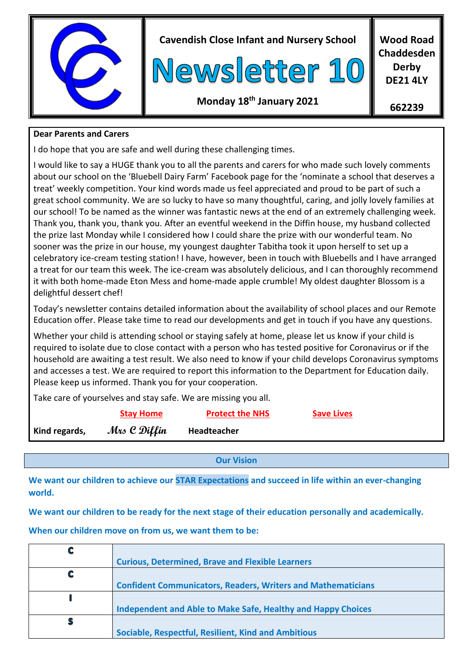

**Cavendish Close Infant and Nursery School**



**Wood Road Chaddesden Derby DE21 4LY**

# **Monday 18 th January 2021**

**662239**

## **Dear Parents and Carers**

I do hope that you are safe and well during these challenging times.

I would like to say a HUGE thank you to all the parents and carers for who made such lovely comments about our school on the 'Bluebell Dairy Farm' Facebook page for the 'nominate a school that deserves a treat' weekly competition. Your kind words made us feel appreciated and proud to be part of such a great school community. We are so lucky to have so many thoughtful, caring, and jolly lovely families at our school! To be named as the winner was fantastic news at the end of an extremely challenging week. Thank you, thank you, thank you. After an eventful weekend in the Diffin house, my husband collected the prize last Monday while I considered how I could share the prize with our wonderful team. No sooner was the prize in our house, my youngest daughter Tabitha took it upon herself to set up a celebratory ice-cream testing station! I have, however, been in touch with Bluebells and I have arranged a treat for our team this week. The ice-cream was absolutely delicious, and I can thoroughly recommend it with both home-made Eton Mess and home-made apple crumble! My oldest daughter Blossom is a delightful dessert chef!

Today's newsletter contains detailed information about the availability of school places and our Remote Education offer. Please take time to read our developments and get in touch if you have any questions.

Whether your child is attending school or staying safely at home, please let us know if your child is required to isolate due to close contact with a person who has tested positive for Coronavirus or if the household are awaiting a test result. We also need to know if your child develops Coronavirus symptoms and accesses a test. We are required to report this information to the Department for Education daily. Please keep us informed. Thank you for your cooperation.

Take care of yourselves and stay safe. We are missing you all.

|               | <b>Stay Home</b> | <b>Protect the NHS</b> | <b>Save Lives</b> |  |
|---------------|------------------|------------------------|-------------------|--|
| Kind regards, | Mrs C Diffin     | Headteacher            |                   |  |

**Our Vision**

**We want our children to achieve our STAR Expectations and succeed in life within an ever-changing world.**

**We want our children to be ready for the next stage of their education personally and academically.**

**When our children move on from us, we want them to be:**

|   | <b>Curious, Determined, Brave and Flexible Learners</b>             |
|---|---------------------------------------------------------------------|
|   |                                                                     |
|   | <b>Confident Communicators, Readers, Writers and Mathematicians</b> |
|   |                                                                     |
|   | Independent and Able to Make Safe, Healthy and Happy Choices        |
| S |                                                                     |
|   | Sociable, Respectful, Resilient, Kind and Ambitious                 |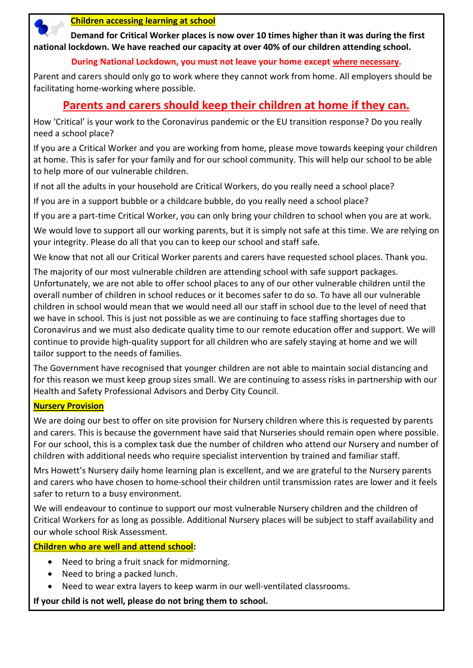

#### **Children accessing learning at school**

 **Demand for Critical Worker places is now over 10 times higher than it was during the first national lockdown. We have reached our capacity at over 40% of our children attending school.**

#### **During National Lockdown, you must not leave your home except where necessary.**

Parent and carers should only go to work where they cannot work from home. All employers should be facilitating home-working where possible.

# **Parents and carers should keep their children at home if they can.**

How 'Critical' is your work to the Coronavirus pandemic or the EU transition response? Do you really need a school place?

If you are a Critical Worker and you are working from home, please move towards keeping your children at home. This is safer for your family and for our school community. This will help our school to be able to help more of our vulnerable children.

If not all the adults in your household are Critical Workers, do you really need a school place?

If you are in a support bubble or a childcare bubble, do you really need a school place?

If you are a part-time Critical Worker, you can only bring your children to school when you are at work.

We would love to support all our working parents, but it is simply not safe at this time. We are relying on your integrity. Please do all that you can to keep our school and staff safe.

We know that not all our Critical Worker parents and carers have requested school places. Thank you.

The majority of our most vulnerable children are attending school with safe support packages. Unfortunately, we are not able to offer school places to any of our other vulnerable children until the overall number of children in school reduces or it becomes safer to do so. To have all our vulnerable children in school would mean that we would need all our staff in school due to the level of need that we have in school. This is just not possible as we are continuing to face staffing shortages due to Coronavirus and we must also dedicate quality time to our remote education offer and support. We will continue to provide high-quality support for all children who are safely staying at home and we will tailor support to the needs of families.

The Government have recognised that younger children are not able to maintain social distancing and for this reason we must keep group sizes small. We are continuing to assess risks in partnership with our Health and Safety Professional Advisors and Derby City Council.

#### **Nursery Provision**

We are doing our best to offer on site provision for Nursery children where this is requested by parents and carers. This is because the government have said that Nurseries should remain open where possible. For our school, this is a complex task due the number of children who attend our Nursery and number of children with additional needs who require specialist intervention by trained and familiar staff.

Mrs Howett's Nursery daily home learning plan is excellent, and we are grateful to the Nursery parents and carers who have chosen to home-school their children until transmission rates are lower and it feels safer to return to a busy environment.

We will endeavour to continue to support our most vulnerable Nursery children and the children of Critical Workers for as long as possible. Additional Nursery places will be subject to staff availability and our whole school Risk Assessment.

#### **Children who are well and attend school:**

- Need to bring a fruit snack for midmorning.
- Need to bring a packed lunch.
- Need to wear extra layers to keep warm in our well-ventilated classrooms.

**If your child is not well, please do not bring them to school.**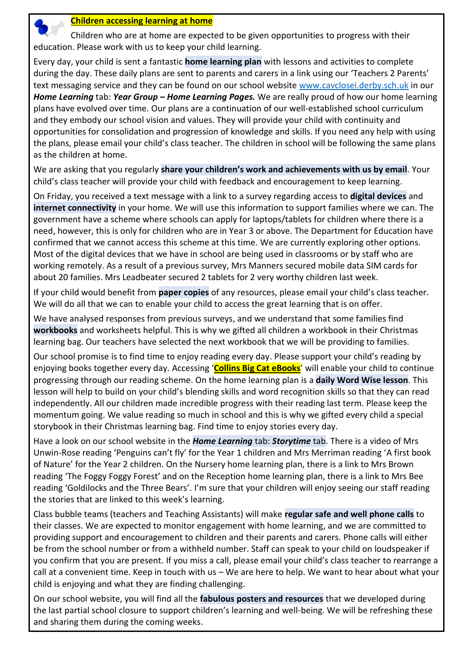

#### **Children accessing learning at home**

 Children who are at home are expected to be given opportunities to progress with their education. Please work with us to keep your child learning.

Every day, your child is sent a fantastic **home learning plan** with lessons and activities to complete during the day. These daily plans are sent to parents and carers in a link using our 'Teachers 2 Parents' text messaging service and they can be found on our school website [www.cavclosei.derby.sch.](http://www.cavclosei.derby.sch/)uk in our *Home Learning* tab: *Year Group – Home Learning Pages.* We are really proud of how our home learning plans have evolved over time. Our plans are a continuation of our well-established school curriculum and they embody our school vision and values. They will provide your child with continuity and opportunities for consolidation and progression of knowledge and skills. If you need any help with using the plans, please email your child's class teacher. The children in school will be following the same plans as the children at home.

We are asking that you regularly **share your children's work and achievements with us by email**. Your child's class teacher will provide your child with feedback and encouragement to keep learning.

On Friday, you received a text message with a link to a survey regarding access to **digital devices** and **internet connectivity** in your home. We will use this information to support families where we can. The government have a scheme where schools can apply for laptops/tablets for children where there is a need, however, this is only for children who are in Year 3 or above. The Department for Education have confirmed that we cannot access this scheme at this time. We are currently exploring other options. Most of the digital devices that we have in school are being used in classrooms or by staff who are working remotely. As a result of a previous survey, Mrs Manners secured mobile data SIM cards for about 20 families. Mrs Leadbeater secured 2 tablets for 2 very worthy children last week.

If your child would benefit from **paper copies** of any resources, please email your child's class teacher. We will do all that we can to enable your child to access the great learning that is on offer.

We have analysed responses from previous surveys, and we understand that some families find **workbooks** and worksheets helpful. This is why we gifted all children a workbook in their Christmas learning bag. Our teachers have selected the next workbook that we will be providing to families.

Our school promise is to find time to enjoy reading every day. Please support your child's reading by enjoying books together every day. Accessing '**Collins Big Cat eBooks**' will enable your child to continue progressing through our reading scheme. On the home learning plan is a **daily Word Wise lesson**. This lesson will help to build on your child's blending skills and word recognition skills so that they can read independently. All our children made incredible progress with their reading last term. Please keep the momentum going. We value reading so much in school and this is why we gifted every child a special storybook in their Christmas learning bag. Find time to enjoy stories every day.

Have a look on our school website in the *Home Learning* tab: *Storytime* tab. There is a video of Mrs Unwin-Rose reading 'Penguins can't fly' for the Year 1 children and Mrs Merriman reading 'A first book of Nature' for the Year 2 children. On the Nursery home learning plan, there is a link to Mrs Brown reading 'The Foggy Foggy Forest' and on the Reception home learning plan, there is a link to Mrs Bee reading 'Goldilocks and the Three Bears'. I'm sure that your children will enjoy seeing our staff reading the stories that are linked to this week's learning.

Class bubble teams (teachers and Teaching Assistants) will make **regular safe and well phone calls** to their classes. We are expected to monitor engagement with home learning, and we are committed to providing support and encouragement to children and their parents and carers. Phone calls will either be from the school number or from a withheld number. Staff can speak to your child on loudspeaker if you confirm that you are present. If you miss a call, please email your child's class teacher to rearrange a call at a convenient time. Keep in touch with us – We are here to help. We want to hear about what your child is enjoying and what they are finding challenging.

On our school website, you will find all the **fabulous posters and resources** that we developed during the last partial school closure to support children's learning and well-being. We will be refreshing these and sharing them during the coming weeks.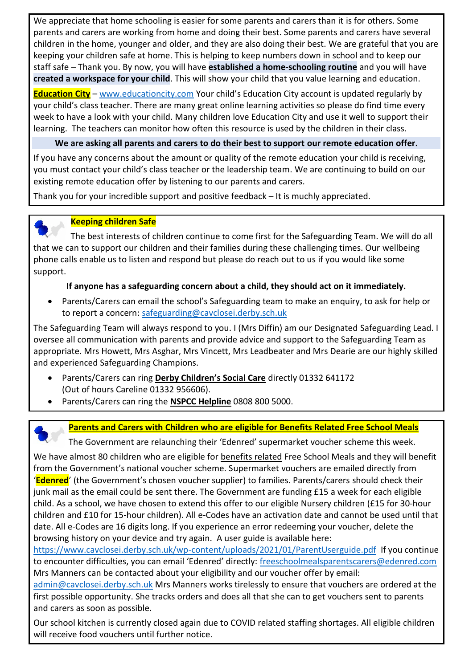We appreciate that home schooling is easier for some parents and carers than it is for others. Some parents and carers are working from home and doing their best. Some parents and carers have several children in the home, younger and older, and they are also doing their best. We are grateful that you are keeping your children safe at home. This is helping to keep numbers down in school and to keep our staff safe – Thank you. By now, you will have **established a home-schooling routine** and you will have **created a workspace for your child**. This will show your child that you value learning and education.

**Education City** – [www.educationcity.com](http://www.educationcity.com/) Your child's Education City account is updated regularly by your child's class teacher. There are many great online learning activities so please do find time every week to have a look with your child. Many children love Education City and use it well to support their learning. The teachers can monitor how often this resource is used by the children in their class.

### **We are asking all parents and carers to do their best to support our remote education offer.**

If you have any concerns about the amount or quality of the remote education your child is receiving, you must contact your child's class teacher or the leadership team. We are continuing to build on our existing remote education offer by listening to our parents and carers.

Thank you for your incredible support and positive feedback – It is muchly appreciated.



### **Keeping children Safe**

 The best interests of children continue to come first for the Safeguarding Team. We will do all that we can to support our children and their families during these challenging times. Our wellbeing phone calls enable us to listen and respond but please do reach out to us if you would like some support.

### **If anyone has a safeguarding concern about a child, they should act on it immediately.**

 Parents/Carers can email the school's Safeguarding team to make an enquiry, to ask for help or to report a concern: [safeguarding@cavclosei.derby.sch.uk](mailto:safeguarding@cavclosei.derby.sch.uk)

The Safeguarding Team will always respond to you. I (Mrs Diffin) am our Designated Safeguarding Lead. I oversee all communication with parents and provide advice and support to the Safeguarding Team as appropriate. Mrs Howett, Mrs Asghar, Mrs Vincett, Mrs Leadbeater and Mrs Dearie are our highly skilled and experienced Safeguarding Champions.

- Parents/Carers can ring **Derby Children's Social Care** directly 01332 641172 (Out of hours Careline 01332 956606).
- Parents/Carers can ring the **NSPCC Helpline** 0808 800 5000.



## **Parents and Carers with Children who are eligible for Benefits Related Free School Meals**

The Government are relaunching their 'Edenred' supermarket voucher scheme this week.

We have almost 80 children who are eligible for benefits related Free School Meals and they will benefit from the Government's national voucher scheme. Supermarket vouchers are emailed directly from '**Edenred**' (the Government's chosen voucher supplier) to families. Parents/carers should check their junk mail as the email could be sent there. The Government are funding £15 a week for each eligible child. As a school, we have chosen to extend this offer to our eligible Nursery children (£15 for 30-hour children and £10 for 15-hour children). All e-Codes have an activation date and cannot be used until that date. All e-Codes are 16 digits long. If you experience an error redeeming your voucher, delete the browsing history on your device and try again. A user guide is available here:

<https://www.cavclosei.derby.sch.uk/wp-content/uploads/2021/01/ParentUserguide.pdf> If you continue to encounter difficulties, you can email 'Edenred' directly: freeschoolmealsparentscarers@edenred.com Mrs Manners can be contacted about your eligibility and our voucher offer by email:

[admin@cavclosei.derby.sch.uk](mailto:admin@cavclosei.derby.sch.uk) Mrs Manners works tirelessly to ensure that vouchers are ordered at the first possible opportunity. She tracks orders and does all that she can to get vouchers sent to parents and carers as soon as possible.

Our school kitchen is currently closed again due to COVID related staffing shortages. All eligible children will receive food vouchers until further notice.